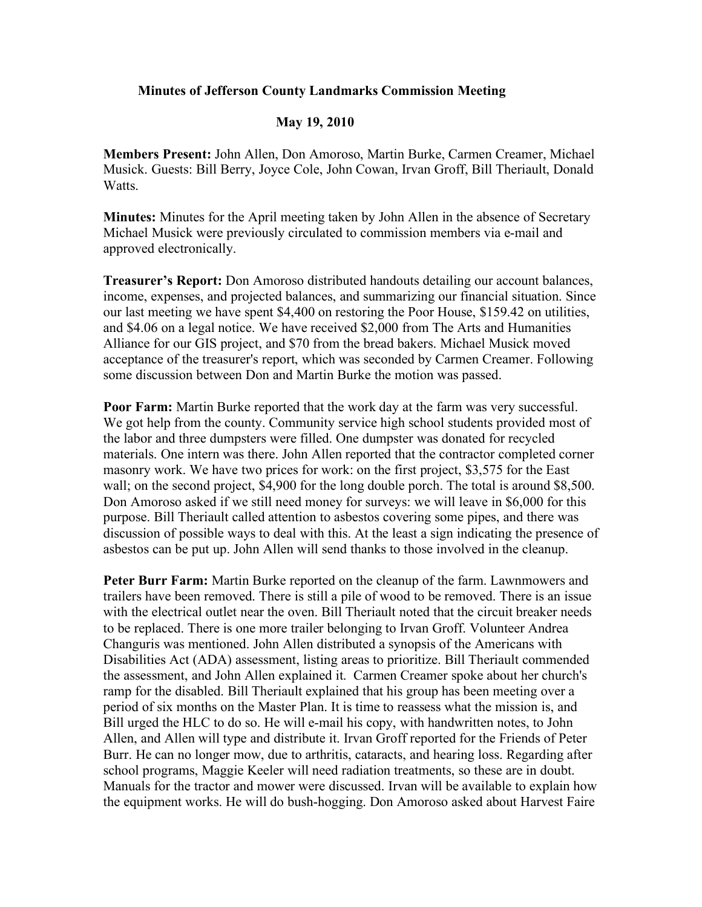## **Minutes of Jefferson County Landmarks Commission Meeting**

## **May 19, 2010**

**Members Present:** John Allen, Don Amoroso, Martin Burke, Carmen Creamer, Michael Musick. Guests: Bill Berry, Joyce Cole, John Cowan, Irvan Groff, Bill Theriault, Donald **Watts** 

**Minutes:** Minutes for the April meeting taken by John Allen in the absence of Secretary Michael Musick were previously circulated to commission members via e-mail and approved electronically.

**Treasurer's Report:** Don Amoroso distributed handouts detailing our account balances, income, expenses, and projected balances, and summarizing our financial situation. Since our last meeting we have spent \$4,400 on restoring the Poor House, \$159.42 on utilities, and \$4.06 on a legal notice. We have received \$2,000 from The Arts and Humanities Alliance for our GIS project, and \$70 from the bread bakers. Michael Musick moved acceptance of the treasurer's report, which was seconded by Carmen Creamer. Following some discussion between Don and Martin Burke the motion was passed.

**Poor Farm:** Martin Burke reported that the work day at the farm was very successful. We got help from the county. Community service high school students provided most of the labor and three dumpsters were filled. One dumpster was donated for recycled materials. One intern was there. John Allen reported that the contractor completed corner masonry work. We have two prices for work: on the first project, \$3,575 for the East wall; on the second project, \$4,900 for the long double porch. The total is around \$8,500. Don Amoroso asked if we still need money for surveys: we will leave in \$6,000 for this purpose. Bill Theriault called attention to asbestos covering some pipes, and there was discussion of possible ways to deal with this. At the least a sign indicating the presence of asbestos can be put up. John Allen will send thanks to those involved in the cleanup.

**Peter Burr Farm:** Martin Burke reported on the cleanup of the farm. Lawnmowers and trailers have been removed. There is still a pile of wood to be removed. There is an issue with the electrical outlet near the oven. Bill Theriault noted that the circuit breaker needs to be replaced. There is one more trailer belonging to Irvan Groff. Volunteer Andrea Changuris was mentioned. John Allen distributed a synopsis of the Americans with Disabilities Act (ADA) assessment, listing areas to prioritize. Bill Theriault commended the assessment, and John Allen explained it. Carmen Creamer spoke about her church's ramp for the disabled. Bill Theriault explained that his group has been meeting over a period of six months on the Master Plan. It is time to reassess what the mission is, and Bill urged the HLC to do so. He will e-mail his copy, with handwritten notes, to John Allen, and Allen will type and distribute it. Irvan Groff reported for the Friends of Peter Burr. He can no longer mow, due to arthritis, cataracts, and hearing loss. Regarding after school programs, Maggie Keeler will need radiation treatments, so these are in doubt. Manuals for the tractor and mower were discussed. Irvan will be available to explain how the equipment works. He will do bush-hogging. Don Amoroso asked about Harvest Faire